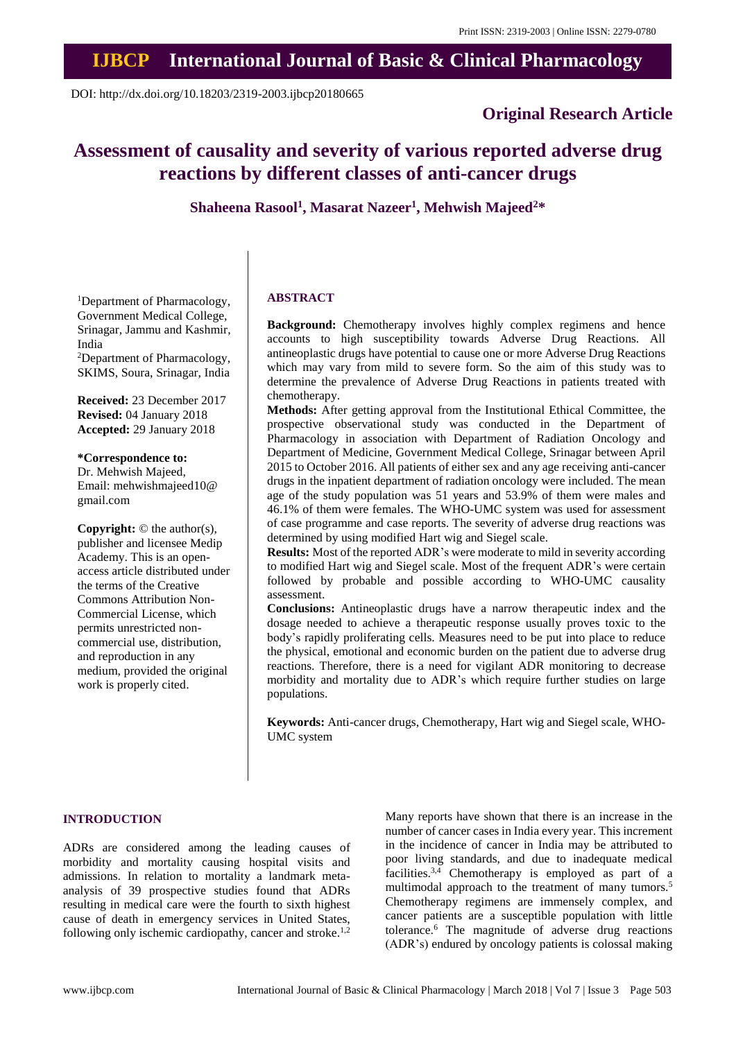# **IJBCP International Journal of Basic & Clinical Pharmacology**

DOI: http://dx.doi.org/10.18203/2319-2003.ijbcp20180665

# **Original Research Article**

# **Assessment of causality and severity of various reported adverse drug reactions by different classes of anti-cancer drugs**

**Shaheena Rasool<sup>1</sup> , Masarat Nazeer<sup>1</sup> , Mehwish Majeed<sup>2</sup>\***

<sup>1</sup>Department of Pharmacology, Government Medical College, Srinagar, Jammu and Kashmir, India <sup>2</sup>Department of Pharmacology, SKIMS, Soura, Srinagar, India

**Received:** 23 December 2017 **Revised:** 04 January 2018 **Accepted:** 29 January 2018

**\*Correspondence to:** Dr. Mehwish Majeed, Email: mehwishmajeed10@ gmail.com

**Copyright:** © the author(s), publisher and licensee Medip Academy. This is an openaccess article distributed under the terms of the Creative Commons Attribution Non-Commercial License, which permits unrestricted noncommercial use, distribution, and reproduction in any medium, provided the original work is properly cited.

# **ABSTRACT**

**Background:** Chemotherapy involves highly complex regimens and hence accounts to high susceptibility towards Adverse Drug Reactions. All antineoplastic drugs have potential to cause one or more Adverse Drug Reactions which may vary from mild to severe form. So the aim of this study was to determine the prevalence of Adverse Drug Reactions in patients treated with chemotherapy.

**Methods:** After getting approval from the Institutional Ethical Committee, the prospective observational study was conducted in the Department of Pharmacology in association with Department of Radiation Oncology and Department of Medicine, Government Medical College, Srinagar between April 2015 to October 2016. All patients of either sex and any age receiving anti-cancer drugs in the inpatient department of radiation oncology were included. The mean age of the study population was 51 years and 53.9% of them were males and 46.1% of them were females. The WHO-UMC system was used for assessment of case programme and case reports. The severity of adverse drug reactions was determined by using modified Hart wig and Siegel scale.

**Results:** Most of the reported ADR's were moderate to mild in severity according to modified Hart wig and Siegel scale. Most of the frequent ADR's were certain followed by probable and possible according to WHO-UMC causality assessment.

**Conclusions:** Antineoplastic drugs have a narrow therapeutic index and the dosage needed to achieve a therapeutic response usually proves toxic to the body's rapidly proliferating cells. Measures need to be put into place to reduce the physical, emotional and economic burden on the patient due to adverse drug reactions. Therefore, there is a need for vigilant ADR monitoring to decrease morbidity and mortality due to ADR's which require further studies on large populations.

**Keywords:** Anti-cancer drugs, Chemotherapy, Hart wig and Siegel scale, WHO-UMC system

# **INTRODUCTION**

ADRs are considered among the leading causes of morbidity and mortality causing hospital visits and admissions. In relation to mortality a landmark metaanalysis of 39 prospective studies found that ADRs resulting in medical care were the fourth to sixth highest cause of death in emergency services in United States, following only ischemic cardiopathy, cancer and stroke.<sup>1,2</sup>

Many reports have shown that there is an increase in the number of cancer cases in India every year. This increment in the incidence of cancer in India may be attributed to poor living standards, and due to inadequate medical facilities.<sup>3,4</sup> Chemotherapy is employed as part of a multimodal approach to the treatment of many tumors.<sup>5</sup> Chemotherapy regimens are immensely complex, and cancer patients are a susceptible population with little tolerance.<sup>6</sup> The magnitude of adverse drug reactions (ADR's) endured by oncology patients is colossal making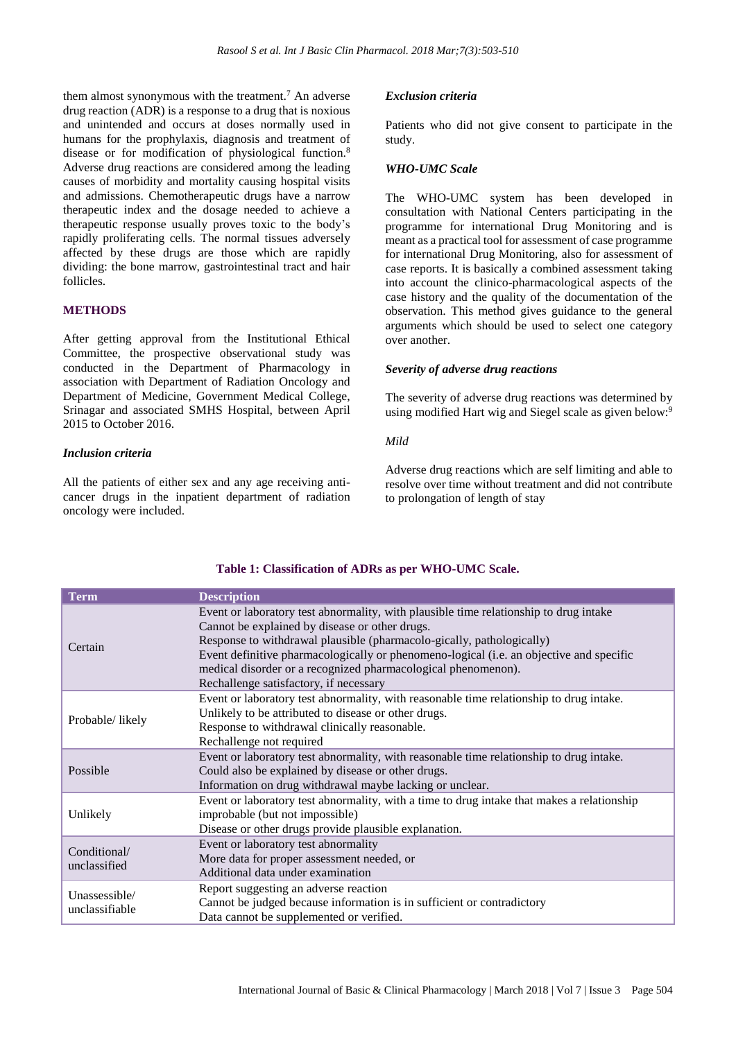them almost synonymous with the treatment.<sup>7</sup> An adverse drug reaction (ADR) is a response to a drug that is noxious and unintended and occurs at doses normally used in humans for the prophylaxis, diagnosis and treatment of disease or for modification of physiological function.<sup>8</sup> Adverse drug reactions are considered among the leading causes of morbidity and mortality causing hospital visits and admissions. Chemotherapeutic drugs have a narrow therapeutic index and the dosage needed to achieve a therapeutic response usually proves toxic to the body's rapidly proliferating cells. The normal tissues adversely affected by these drugs are those which are rapidly dividing: the bone marrow, gastrointestinal tract and hair follicles.

# **METHODS**

After getting approval from the Institutional Ethical Committee, the prospective observational study was conducted in the Department of Pharmacology in association with Department of Radiation Oncology and Department of Medicine, Government Medical College, Srinagar and associated SMHS Hospital, between April 2015 to October 2016.

### *Inclusion criteria*

All the patients of either sex and any age receiving anticancer drugs in the inpatient department of radiation oncology were included.

#### *Exclusion criteria*

Patients who did not give consent to participate in the study.

#### *WHO-UMC Scale*

The WHO-UMC system has been developed in consultation with National Centers participating in the programme for international Drug Monitoring and is meant as a practical tool for assessment of case programme for international Drug Monitoring, also for assessment of case reports. It is basically a combined assessment taking into account the clinico-pharmacological aspects of the case history and the quality of the documentation of the observation. This method gives guidance to the general arguments which should be used to select one category over another.

#### *Severity of adverse drug reactions*

The severity of adverse drug reactions was determined by using modified Hart wig and Siegel scale as given below:<sup>9</sup>

## *Mild*

Adverse drug reactions which are self limiting and able to resolve over time without treatment and did not contribute to prolongation of length of stay

| <b>Term</b>                     | <b>Description</b>                                                                                                                                                                                                                                                                                                                                                                                                     |
|---------------------------------|------------------------------------------------------------------------------------------------------------------------------------------------------------------------------------------------------------------------------------------------------------------------------------------------------------------------------------------------------------------------------------------------------------------------|
| Certain                         | Event or laboratory test abnormality, with plausible time relationship to drug intake<br>Cannot be explained by disease or other drugs.<br>Response to withdrawal plausible (pharmacolo-gically, pathologically)<br>Event definitive pharmacologically or phenomeno-logical (i.e. an objective and specific<br>medical disorder or a recognized pharmacological phenomenon).<br>Rechallenge satisfactory, if necessary |
| Probable/likely                 | Event or laboratory test abnormality, with reasonable time relationship to drug intake.<br>Unlikely to be attributed to disease or other drugs.<br>Response to withdrawal clinically reasonable.<br>Rechallenge not required                                                                                                                                                                                           |
| Possible                        | Event or laboratory test abnormality, with reasonable time relationship to drug intake.<br>Could also be explained by disease or other drugs.<br>Information on drug withdrawal maybe lacking or unclear.                                                                                                                                                                                                              |
| Unlikely                        | Event or laboratory test abnormality, with a time to drug intake that makes a relationship<br>improbable (but not impossible)<br>Disease or other drugs provide plausible explanation.                                                                                                                                                                                                                                 |
| Conditional/<br>unclassified    | Event or laboratory test abnormality<br>More data for proper assessment needed, or<br>Additional data under examination                                                                                                                                                                                                                                                                                                |
| Unassessible/<br>unclassifiable | Report suggesting an adverse reaction<br>Cannot be judged because information is in sufficient or contradictory<br>Data cannot be supplemented or verified.                                                                                                                                                                                                                                                            |

### **Table 1: Classification of ADRs as per WHO-UMC Scale.**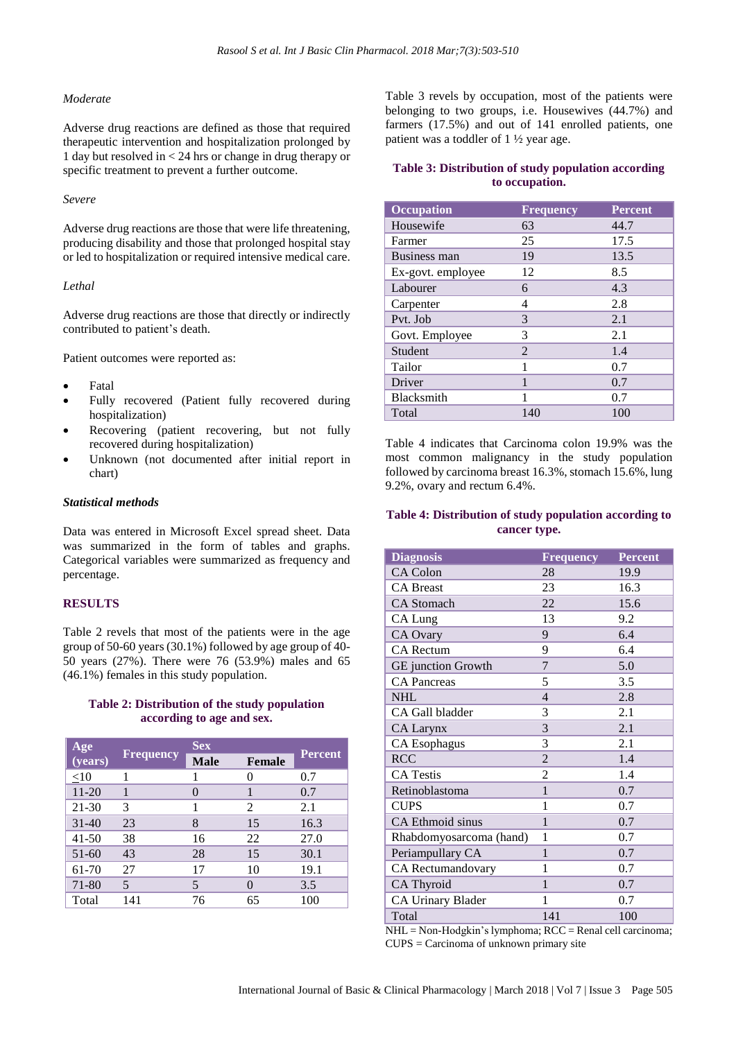#### *Moderate*

Adverse drug reactions are defined as those that required therapeutic intervention and hospitalization prolonged by 1 day but resolved in < 24 hrs or change in drug therapy or specific treatment to prevent a further outcome.

#### *Severe*

Adverse drug reactions are those that were life threatening, producing disability and those that prolonged hospital stay or led to hospitalization or required intensive medical care.

#### *Lethal*

Adverse drug reactions are those that directly or indirectly contributed to patient's death.

Patient outcomes were reported as:

- Fatal
- Fully recovered (Patient fully recovered during hospitalization)
- Recovering (patient recovering, but not fully recovered during hospitalization)
- Unknown (not documented after initial report in chart)

#### *Statistical methods*

Data was entered in Microsoft Excel spread sheet. Data was summarized in the form of tables and graphs. Categorical variables were summarized as frequency and percentage.

# **RESULTS**

Table 2 revels that most of the patients were in the age group of 50-60 years(30.1%) followed by age group of 40- 50 years (27%). There were 76 (53.9%) males and 65 (46.1%) females in this study population.

#### **Table 2: Distribution of the study population according to age and sex.**

| Age       |                  | <b>Sex</b>    |                |                |
|-----------|------------------|---------------|----------------|----------------|
| (years)   | <b>Frequency</b> | <b>Male</b>   | <b>Female</b>  | <b>Percent</b> |
| $\leq10$  |                  |               | ∩              | 0.7            |
| $11 - 20$ |                  | $\mathcal{O}$ |                | 0.7            |
| 21-30     | 3                |               | $\mathfrak{D}$ | 2.1            |
| $31 - 40$ | 23               | 8             | 15             | 16.3           |
| $41 - 50$ | 38               | 16            | 22             | 27.0           |
| $51 - 60$ | 43               | 28            | 15             | 30.1           |
| 61-70     | 27               | 17            | 10             | 19.1           |
| 71-80     | 5                | 5             | $\mathcal{O}$  | 3.5            |
| Total     | 141              | 76            | 65             | 100            |

Table 3 revels by occupation, most of the patients were belonging to two groups, i.e. Housewives (44.7%) and farmers (17.5%) and out of 141 enrolled patients, one patient was a toddler of 1 ½ year age.

# **Table 3: Distribution of study population according to occupation.**

| <b>Occupation</b>   | <b>Frequency</b> | <b>Percent</b> |
|---------------------|------------------|----------------|
| Housewife           | 63               | 44.7           |
| Farmer              | 25               | 17.5           |
| <b>Business man</b> | 19               | 13.5           |
| Ex-govt. employee   | 12               | 8.5            |
| Labourer            | 6                | 4.3            |
| Carpenter           | 4                | 2.8            |
| Pvt. Job            | 3                | 2.1            |
| Govt. Employee      | 3                | 2.1            |
| Student             | $\mathfrak{D}$   | 1.4            |
| Tailor              | 1                | 0.7            |
| Driver              | 1                | 0.7            |
| Blacksmith          |                  | 0.7            |
| Total               | 140              | 100            |

Table 4 indicates that Carcinoma colon 19.9% was the most common malignancy in the study population followed by carcinoma breast 16.3%, stomach 15.6%, lung 9.2%, ovary and rectum 6.4%.

# **Table 4: Distribution of study population according to cancer type.**

| <b>Diagnosis</b>         | Frequency      | <b>Percent</b> |
|--------------------------|----------------|----------------|
| CA Colon                 | 28             | 19.9           |
| <b>CA Breast</b>         | 23             | 16.3           |
| <b>CA</b> Stomach        | 22             | 15.6           |
| CA Lung                  | 13             | 9.2            |
| CA Ovary                 | 9              | 6.4            |
| <b>CA Rectum</b>         | 9              | 6.4            |
| GE junction Growth       | $\overline{7}$ | 5.0            |
| <b>CA Pancreas</b>       | 5              | 3.5            |
| <b>NHL</b>               | $\overline{4}$ | 2.8            |
| CA Gall bladder          | 3              | 2.1            |
| <b>CA Larynx</b>         | 3              | 2.1            |
| <b>CA Esophagus</b>      | 3              | 2.1            |
| <b>RCC</b>               | $\overline{2}$ | 1.4            |
| <b>CA Testis</b>         | $\overline{2}$ | 1.4            |
| Retinoblastoma           | $\mathbf{1}$   | 0.7            |
| <b>CUPS</b>              | 1              | 0.7            |
| CA Ethmoid sinus         | $\mathbf{1}$   | 0.7            |
| Rhabdomyosarcoma (hand)  | 1              | 0.7            |
| Periampullary CA         | 1              | 0.7            |
| CA Rectumandovary        | 1              | 0.7            |
| CA Thyroid               | 1              | 0.7            |
| <b>CA Urinary Blader</b> | 1              | 0.7            |
| Total                    | 141            | 100            |

NHL = Non-Hodgkin's lymphoma; RCC = Renal cell carcinoma; CUPS = Carcinoma of unknown primary site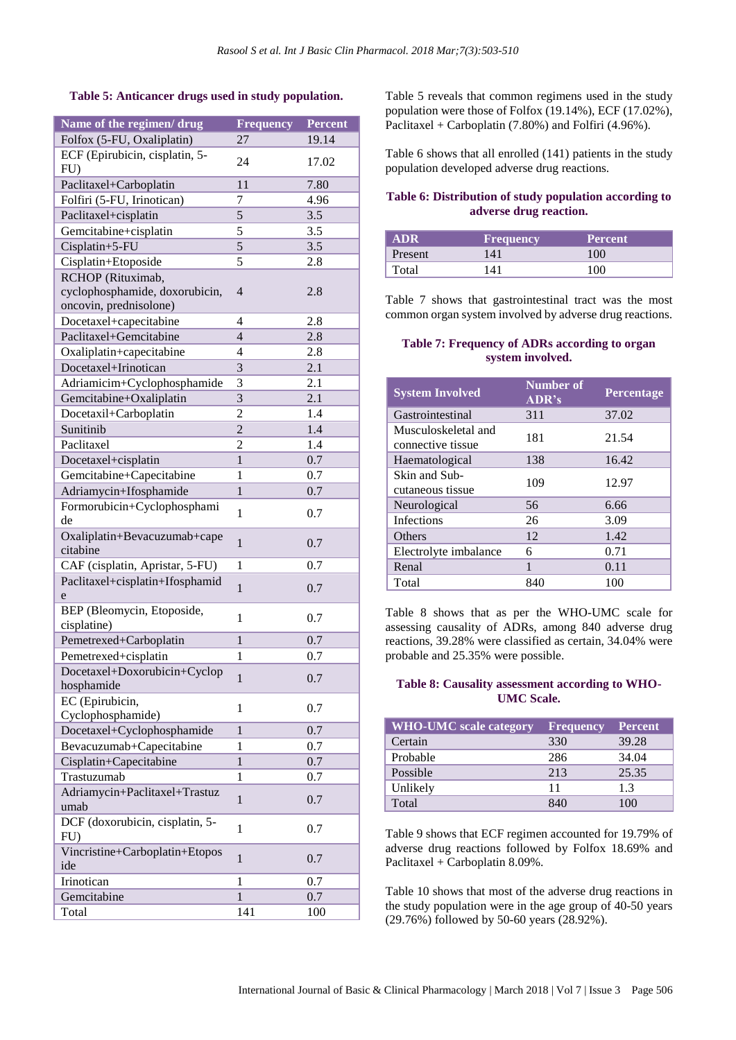# **Table 5: Anticancer drugs used in study population.**

| Name of the regimen/ drug       | <b>Frequency</b> | <b>Percent</b> |
|---------------------------------|------------------|----------------|
| Folfox (5-FU, Oxaliplatin)      | 27               | 19.14          |
| ECF (Epirubicin, cisplatin, 5-  |                  |                |
| $FU$ )                          | 24               | 17.02          |
| Paclitaxel+Carboplatin          | 11               | 7.80           |
| Folfiri (5-FU, Irinotican)      | 7                | 4.96           |
| Paclitaxel+cisplatin            | $\overline{5}$   | 3.5            |
| Gemcitabine+cisplatin           | 5                | 3.5            |
| Cisplatin+5-FU                  | $\overline{5}$   | 3.5            |
| Cisplatin+Etoposide             | 5                | 2.8            |
| RCHOP (Rituximab,               |                  |                |
| cyclophosphamide, doxorubicin,  | $\overline{4}$   | 2.8            |
| oncovin, prednisolone)          |                  |                |
| Docetaxel+capecitabine          | 4                | 2.8            |
| Paclitaxel+Gemcitabine          | $\overline{4}$   | 2.8            |
| Oxaliplatin+capecitabine        | 4                | 2.8            |
| Docetaxel+Irinotican            | 3                | 2.1            |
| Adriamicim+Cyclophosphamide     | 3                | 2.1            |
| Gemcitabine+Oxaliplatin         | 3                | 2.1            |
| Docetaxil+Carboplatin           | $\overline{c}$   | 1.4            |
| Sunitinib                       | $\overline{c}$   | 1.4            |
| Paclitaxel                      | $\overline{c}$   | 1.4            |
| Docetaxel+cisplatin             | $\mathbf{1}$     | 0.7            |
| Gemcitabine+Capecitabine        | 1                | 0.7            |
| Adriamycin+Ifosphamide          | $\mathbf{1}$     | 0.7            |
| Formorubicin+Cyclophosphami     |                  |                |
| de                              | $\mathbf{1}$     | 0.7            |
| Oxaliplatin+Bevacuzumab+cape    |                  |                |
| citabine                        | $\mathbf{1}$     | 0.7            |
| CAF (cisplatin, Apristar, 5-FU) | 1                | 0.7            |
| Paclitaxel+cisplatin+Ifosphamid | $\mathbf{1}$     | 0.7            |
| e                               |                  |                |
| BEP (Bleomycin, Etoposide,      | 1                | 0.7            |
| cisplatine)                     |                  |                |
| Pemetrexed+Carboplatin          | $\mathbf{1}$     | 0.7            |
| Pemetrexed+cisplatin            | 1                | 0.7            |
| Docetaxel+Doxorubicin+Cyclop    | $\mathbf{1}$     | 0.7            |
| hosphamide                      |                  |                |
| EC (Epirubicin,                 | 1                | 0.7            |
| Cyclophosphamide)               |                  |                |
| Docetaxel+Cyclophosphamide      | $\mathbf{1}$     | 0.7            |
| Bevacuzumab+Capecitabine        | 1                | 0.7            |
| Cisplatin+Capecitabine          | $\mathbf{1}$     | 0.7            |
| Trastuzumab                     | 1                | 0.7            |
| Adriamycin+Paclitaxel+Trastuz   | $\mathbf{1}$     | 0.7            |
| umab                            |                  |                |
| DCF (doxorubicin, cisplatin, 5- | $\mathbf{1}$     | 0.7            |
| $FU$ )                          |                  |                |
| Vincristine+Carboplatin+Etopos  | $\mathbf{1}$     | 0.7            |
| ide                             |                  |                |
| Irinotican                      | $\mathbf{1}$     | 0.7            |
| Gemcitabine                     | $\mathbf{1}$     | 0.7            |
| Total                           | 141              | 100            |

Table 5 reveals that common regimens used in the study population were those of Folfox (19.14%), ECF (17.02%), Paclitaxel + Carboplatin (7.80%) and Folfiri (4.96%).

Table 6 shows that all enrolled (141) patients in the study population developed adverse drug reactions.

# **Table 6: Distribution of study population according to adverse drug reaction.**

| <b>ADR</b> | <b>Frequency</b> | <b>Percent</b> |
|------------|------------------|----------------|
| Present    | 141              | 100            |
| Total      | 141              | 100            |

Table 7 shows that gastrointestinal tract was the most common organ system involved by adverse drug reactions.

# **Table 7: Frequency of ADRs according to organ system involved.**

| <b>System Involved</b>                   | <b>Number of</b><br>ADR's | Percentage |
|------------------------------------------|---------------------------|------------|
| Gastrointestinal                         | 311                       | 37.02      |
| Musculoskeletal and<br>connective tissue | 181                       | 21.54      |
| Haematological                           | 138                       | 16.42      |
| Skin and Sub-<br>cutaneous tissue        | 109                       | 12.97      |
| Neurological                             | 56                        | 6.66       |
| <b>Infections</b>                        | 26                        | 3.09       |
| <b>Others</b>                            | 12                        | 1.42       |
| Electrolyte imbalance                    | 6                         | 0.71       |
| Renal                                    | 1                         | 0.11       |
| Total                                    | 840                       | 100        |

Table 8 shows that as per the WHO-UMC scale for assessing causality of ADRs, among 840 adverse drug reactions, 39.28% were classified as certain, 34.04% were probable and 25.35% were possible.

# **Table 8: Causality assessment according to WHO-UMC Scale.**

| <b>WHO-UMC</b> scale category | <b>Frequency</b> | <b>Percent</b> |
|-------------------------------|------------------|----------------|
| Certain                       | 330              | 39.28          |
| Probable                      | 286              | 34.04          |
| Possible                      | 213              | 25.35          |
| Unlikely                      | 11               | 1.3            |
| Total                         | 840              | 100            |

Table 9 shows that ECF regimen accounted for 19.79% of adverse drug reactions followed by Folfox 18.69% and Paclitaxel + Carboplatin 8.09%.

Table 10 shows that most of the adverse drug reactions in the study population were in the age group of 40-50 years (29.76%) followed by 50-60 years (28.92%).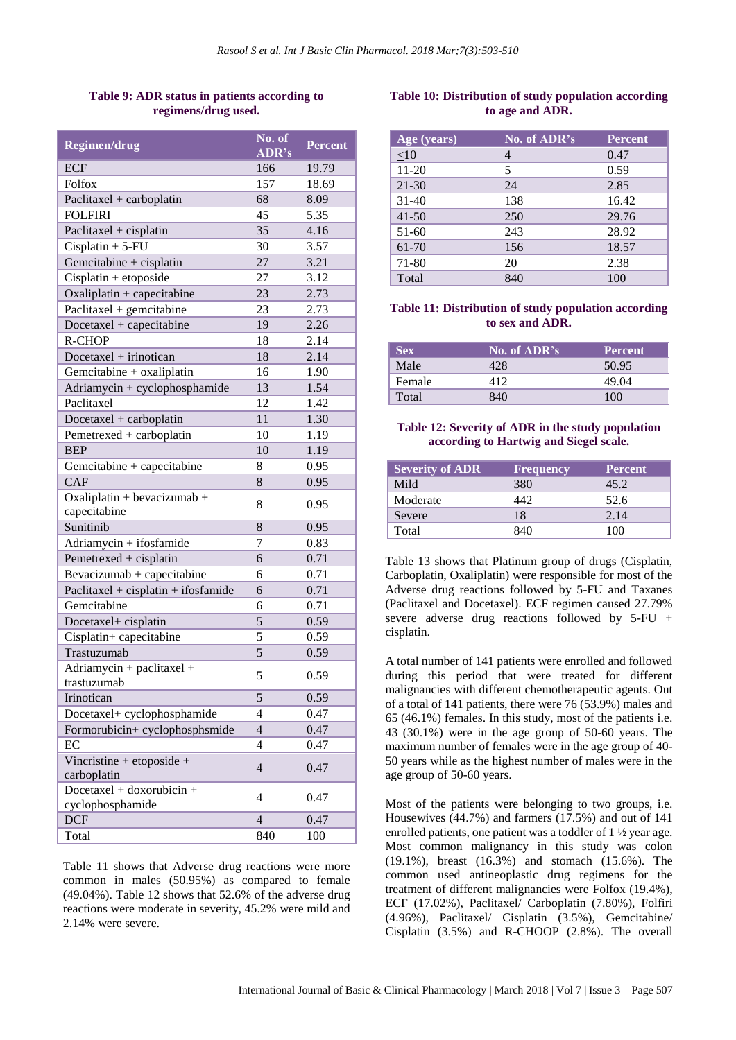# **Table 9: ADR status in patients according to regimens/drug used.**

| <b>Regimen/drug</b>                           | $\overline{\text{No. of}}$<br>ADR's | <b>Percent</b> |
|-----------------------------------------------|-------------------------------------|----------------|
| <b>ECF</b>                                    | 166                                 | 19.79          |
| Folfox                                        | 157                                 | 18.69          |
| Paclitaxel + carboplatin                      | 68                                  | 8.09           |
| <b>FOLFIRI</b>                                | 45                                  | 5.35           |
| Paclitaxel + cisplatin                        | 35                                  | 4.16           |
| $Cisplatin + 5-FU$                            | 30                                  | 3.57           |
| Gemcitabine + cisplatin                       | 27                                  | 3.21           |
| $Cisplatin + etoposide$                       | 27                                  | 3.12           |
| Oxaliplatin + capecitabine                    | 23                                  | 2.73           |
| Paclitaxel + gemcitabine                      | 23                                  | 2.73           |
| Docetaxel + capecitabine                      | 19                                  | 2.26           |
| <b>R-CHOP</b>                                 | 18                                  | 2.14           |
| Docetaxel + irinotican                        | 18                                  | 2.14           |
| Gemcitabine + oxaliplatin                     | 16                                  | 1.90           |
| Adriamycin + cyclophosphamide                 | 13                                  | 1.54           |
| Paclitaxel                                    | 12                                  | 1.42           |
| Docetaxel + carboplatin                       | 11                                  | 1.30           |
| Pemetrexed + carboplatin                      | 10                                  | 1.19           |
| <b>BEP</b>                                    | 10                                  | 1.19           |
| Gemcitabine + capecitabine                    | 8                                   | 0.95           |
| <b>CAF</b>                                    | 8                                   | 0.95           |
| Oxaliplatin + bevacizumab +<br>capecitabine   | 8                                   | 0.95           |
| Sunitinib                                     | 8                                   | 0.95           |
| Adriamycin + ifosfamide                       | 7                                   | 0.83           |
| Pemetrexed + cisplatin                        | 6                                   | 0.71           |
| Bevacizumab + capecitabine                    | 6                                   | 0.71           |
| Paclitaxel + cisplatin + ifosfamide           | 6                                   | 0.71           |
| Gemcitabine                                   | 6                                   | 0.71           |
| Docetaxel+ cisplatin                          | 5                                   | 0.59           |
| Cisplatin+ capecitabine                       | 5                                   | 0.59           |
| Trastuzumab                                   | 5                                   | 0.59           |
| Adriamycin + paclitaxel +                     |                                     |                |
| trastuzumab                                   | 5                                   | 0.59           |
| Irinotican                                    | 5                                   | 0.59           |
| Docetaxel+ cyclophosphamide                   | 4                                   | 0.47           |
| Formorubicin+ cyclophosphsmide                | $\overline{4}$                      | 0.47           |
| EC                                            | $\overline{4}$                      | 0.47           |
| Vincristine + etoposide +<br>carboplatin      | $\overline{4}$                      | 0.47           |
| Docetaxel + doxorubicin +<br>cyclophosphamide | $\overline{4}$                      | 0.47           |
| <b>DCF</b>                                    | $\overline{4}$                      | 0.47           |
| Total                                         | 840                                 | 100            |

Table 11 shows that Adverse drug reactions were more common in males (50.95%) as compared to female (49.04%). Table 12 shows that 52.6% of the adverse drug reactions were moderate in severity, 45.2% were mild and 2.14% were severe.

# **Table 10: Distribution of study population according to age and ADR.**

| Age (years) | No. of ADR's | <b>Percent</b> |
|-------------|--------------|----------------|
| $\leq 10$   |              | 0.47           |
| $11-20$     | 5            | 0.59           |
| 21-30       | 24           | 2.85           |
| $31-40$     | 138          | 16.42          |
| $41 - 50$   | 250          | 29.76          |
| $51-60$     | 243          | 28.92          |
| 61-70       | 156          | 18.57          |
| 71-80       | 20           | 2.38           |
| Total       | 840          | 100            |

# **Table 11: Distribution of study population according to sex and ADR.**

| Sex    | No. of ADR's | <b>Percent</b> |
|--------|--------------|----------------|
| Male   |              | 50.95          |
| Female | 412          | 49.04          |
| Total  |              | 100            |

# **Table 12: Severity of ADR in the study population according to Hartwig and Siegel scale.**

| <b>Severity of ADR</b> | <b>Frequency</b> | <b>Percent</b> |
|------------------------|------------------|----------------|
| Mild                   | 380              | 45.2           |
| Moderate               | 447              | 52.6           |
| Severe                 | 18               | 2.14           |
| Total                  | 84O              | 100            |

Table 13 shows that Platinum group of drugs (Cisplatin, Carboplatin, Oxaliplatin) were responsible for most of the Adverse drug reactions followed by 5-FU and Taxanes (Paclitaxel and Docetaxel). ECF regimen caused 27.79% severe adverse drug reactions followed by 5-FU + cisplatin.

A total number of 141 patients were enrolled and followed during this period that were treated for different malignancies with different chemotherapeutic agents. Out of a total of 141 patients, there were 76 (53.9%) males and 65 (46.1%) females. In this study, most of the patients i.e. 43 (30.1%) were in the age group of 50-60 years. The maximum number of females were in the age group of 40- 50 years while as the highest number of males were in the age group of 50-60 years.

Most of the patients were belonging to two groups, i.e. Housewives (44.7%) and farmers (17.5%) and out of 141 enrolled patients, one patient was a toddler of 1 ½ year age. Most common malignancy in this study was colon (19.1%), breast (16.3%) and stomach (15.6%). The common used antineoplastic drug regimens for the treatment of different malignancies were Folfox (19.4%), ECF (17.02%), Paclitaxel/ Carboplatin (7.80%), Folfiri (4.96%), Paclitaxel/ Cisplatin (3.5%), Gemcitabine/ Cisplatin (3.5%) and R-CHOOP (2.8%). The overall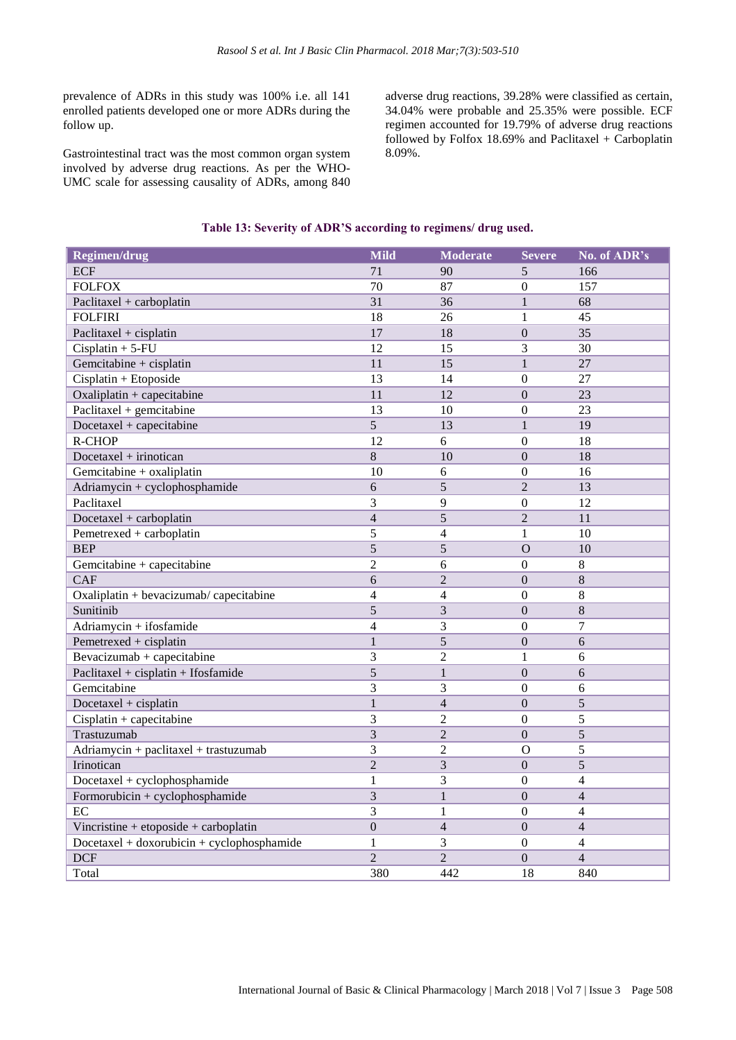prevalence of ADRs in this study was 100% i.e. all 141 enrolled patients developed one or more ADRs during the follow up.

Gastrointestinal tract was the most common organ system involved by adverse drug reactions. As per the WHO-UMC scale for assessing causality of ADRs, among 840 adverse drug reactions, 39.28% were classified as certain, 34.04% were probable and 25.35% were possible. ECF regimen accounted for 19.79% of adverse drug reactions followed by Folfox  $18.69\%$  and Paclitaxel + Carboplatin 8.09%.

# **Table 13: Severity of ADR'S according to regimens/ drug used.**

| <b>Regimen/drug</b>                          | Mild           | <b>Moderate</b> | <b>Severe</b>    | No. of ADR's   |
|----------------------------------------------|----------------|-----------------|------------------|----------------|
| <b>ECF</b>                                   | 71             | 90              | 5                | 166            |
| <b>FOLFOX</b>                                | 70             | 87              | $\overline{0}$   | 157            |
| Paclitaxel + carboplatin                     | 31             | 36              | $\mathbf{1}$     | 68             |
| <b>FOLFIRI</b>                               | 18             | 26              | $\mathbf{1}$     | 45             |
| Paclitaxel + cisplatin                       | 17             | 18              | $\theta$         | 35             |
| $Cisplatin + 5$ -FU                          | 12             | 15              | 3                | 30             |
| Gemcitabine + cisplatin                      | 11             | 15              | $\mathbf{1}$     | 27             |
| Cisplatin + Etoposide                        | 13             | 14              | $\overline{0}$   | 27             |
| Oxaliplatin + capecitabine                   | 11             | 12              | $\mathbf{0}$     | 23             |
| Paclitaxel + gemcitabine                     | 13             | 10              | $\mathbf{0}$     | 23             |
| $Docetaxel + capacitabine$                   | $\overline{5}$ | 13              | $\mathbf{1}$     | 19             |
| R-CHOP                                       | 12             | 6               | $\boldsymbol{0}$ | 18             |
| Docetaxel + irinotican                       | $\overline{8}$ | 10              | $\overline{0}$   | 18             |
| Gemcitabine + oxaliplatin                    | 10             | 6               | $\boldsymbol{0}$ | 16             |
| Adriamycin + cyclophosphamide                | 6              | 5               | $\overline{2}$   | 13             |
| Paclitaxel                                   | 3              | 9               | $\theta$         | 12             |
| Docetaxel + carboplatin                      | $\overline{4}$ | $\overline{5}$  | $\overline{2}$   | 11             |
| Pemetrexed + carboplatin                     | 5              | $\overline{4}$  | $\mathbf{1}$     | 10             |
| <b>BEP</b>                                   | 5              | 5               | $\overline{O}$   | 10             |
| Gemcitabine + capecitabine                   | $\overline{2}$ | 6               | $\boldsymbol{0}$ | 8              |
| CAF                                          | 6              | $\overline{2}$  | $\mathbf{0}$     | 8              |
| Oxaliplatin + bevacizumab/ capecitabine      | $\overline{4}$ | $\overline{4}$  | $\mathbf{0}$     | $8\,$          |
| Sunitinib                                    | $\overline{5}$ | $\overline{3}$  | $\overline{0}$   | 8              |
| Adriamycin + ifosfamide                      | $\overline{4}$ | 3               | $\overline{0}$   | $\overline{7}$ |
| Pemetrexed + cisplatin                       | $\mathbf{1}$   | 5               | $\mathbf{0}$     | 6              |
| Bevacizumab + capecitabine                   | 3              | $\overline{2}$  | $\mathbf{1}$     | 6              |
| Paclitaxel + cisplatin + Ifosfamide          | $\overline{5}$ | $\mathbf{1}$    | $\overline{0}$   | 6              |
| Gemcitabine                                  | 3              | 3               | $\overline{0}$   | 6              |
| Docetaxel + cisplatin                        | $\mathbf{1}$   | $\overline{4}$  | $\overline{0}$   | $\overline{5}$ |
| $Cisplatin + capacitation$                   | 3              | $\overline{2}$  | $\overline{0}$   | 5              |
| Trastuzumab                                  | 3              | $\overline{2}$  | $\mathbf{0}$     | 5              |
| Adriamycin + paclitaxel + trastuzumab        | 3              | $\overline{2}$  | $\mathbf O$      | 5              |
| Irinotican                                   | $\overline{2}$ | 3               | $\mathbf{0}$     | 5              |
| Docetaxel + cyclophosphamide                 | $\mathbf{1}$   | 3               | $\mathbf{0}$     | $\overline{4}$ |
| Formorubicin + cyclophosphamide              | $\overline{3}$ | $\mathbf{1}$    | $\overline{0}$   | $\overline{4}$ |
| EC                                           | 3              | $\mathbf{1}$    | $\boldsymbol{0}$ | 4              |
| Vincristine + etoposide + carboplatin        | $\overline{0}$ | $\overline{4}$  | $\overline{0}$   | $\overline{4}$ |
| $Docetaxel + doxorubicin + cyclophosphamide$ | $\mathbf{1}$   | $\mathfrak{Z}$  | $\boldsymbol{0}$ | $\overline{4}$ |
| <b>DCF</b>                                   | $\overline{2}$ | $\overline{2}$  | $\mathbf{0}$     | $\overline{4}$ |
| Total                                        | 380            | 442             | 18               | 840            |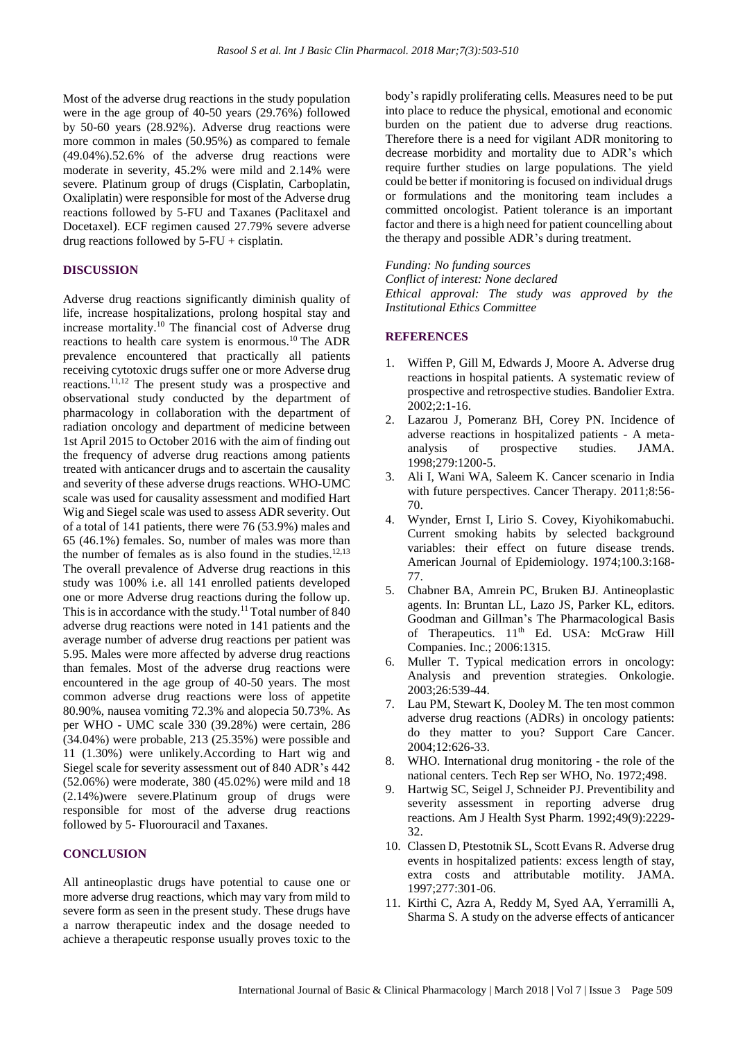Most of the adverse drug reactions in the study population were in the age group of 40-50 years (29.76%) followed by 50-60 years (28.92%). Adverse drug reactions were more common in males (50.95%) as compared to female (49.04%).52.6% of the adverse drug reactions were moderate in severity, 45.2% were mild and 2.14% were severe. Platinum group of drugs (Cisplatin, Carboplatin, Oxaliplatin) were responsible for most of the Adverse drug reactions followed by 5-FU and Taxanes (Paclitaxel and Docetaxel). ECF regimen caused 27.79% severe adverse drug reactions followed by 5-FU + cisplatin.

#### **DISCUSSION**

Adverse drug reactions significantly diminish quality of life, increase hospitalizations, prolong hospital stay and increase mortality. <sup>10</sup> The financial cost of Adverse drug reactions to health care system is enormous. <sup>10</sup> The ADR prevalence encountered that practically all patients receiving cytotoxic drugs suffer one or more Adverse drug reactions.11,12 The present study was a prospective and observational study conducted by the department of pharmacology in collaboration with the department of radiation oncology and department of medicine between 1st April 2015 to October 2016 with the aim of finding out the frequency of adverse drug reactions among patients treated with anticancer drugs and to ascertain the causality and severity of these adverse drugs reactions. WHO-UMC scale was used for causality assessment and modified Hart Wig and Siegel scale was used to assess ADR severity. Out of a total of 141 patients, there were 76 (53.9%) males and 65 (46.1%) females. So, number of males was more than the number of females as is also found in the studies. $12,13$ The overall prevalence of Adverse drug reactions in this study was 100% i.e. all 141 enrolled patients developed one or more Adverse drug reactions during the follow up. This is in accordance with the study.<sup>11</sup> Total number of 840 adverse drug reactions were noted in 141 patients and the average number of adverse drug reactions per patient was 5.95. Males were more affected by adverse drug reactions than females. Most of the adverse drug reactions were encountered in the age group of 40-50 years. The most common adverse drug reactions were loss of appetite 80.90%, nausea vomiting 72.3% and alopecia 50.73%. As per WHO - UMC scale 330 (39.28%) were certain, 286 (34.04%) were probable, 213 (25.35%) were possible and 11 (1.30%) were unlikely.According to Hart wig and Siegel scale for severity assessment out of 840 ADR's 442 (52.06%) were moderate, 380 (45.02%) were mild and 18 (2.14%)were severe.Platinum group of drugs were responsible for most of the adverse drug reactions followed by 5- Fluorouracil and Taxanes.

#### **CONCLUSION**

All antineoplastic drugs have potential to cause one or more adverse drug reactions, which may vary from mild to severe form as seen in the present study. These drugs have a narrow therapeutic index and the dosage needed to achieve a therapeutic response usually proves toxic to the body's rapidly proliferating cells. Measures need to be put into place to reduce the physical, emotional and economic burden on the patient due to adverse drug reactions. Therefore there is a need for vigilant ADR monitoring to decrease morbidity and mortality due to ADR's which require further studies on large populations. The yield could be better if monitoring is focused on individual drugs or formulations and the monitoring team includes a committed oncologist. Patient tolerance is an important factor and there is a high need for patient councelling about the therapy and possible ADR's during treatment.

*Funding: No funding sources*

*Conflict of interest: None declared Ethical approval: The study was approved by the Institutional Ethics Committee*

# **REFERENCES**

- 1. Wiffen P, Gill M, Edwards J, Moore A. Adverse drug reactions in hospital patients. A systematic review of prospective and retrospective studies. Bandolier Extra. 2002;2:1-16.
- 2. Lazarou J, Pomeranz BH, Corey PN. Incidence of adverse reactions in hospitalized patients - A metaanalysis of prospective studies. JAMA. 1998;279:1200-5.
- 3. Ali I, Wani WA, Saleem K. Cancer scenario in India with future perspectives. Cancer Therapy. 2011;8:56- 70.
- 4. Wynder, Ernst I, Lirio S. Covey, Kiyohikomabuchi. Current smoking habits by selected background variables: their effect on future disease trends. American Journal of Epidemiology. 1974;100.3:168- 77.
- 5. Chabner BA, Amrein PC, Bruken BJ. Antineoplastic agents. In: Bruntan LL, Lazo JS, Parker KL, editors. Goodman and Gillman's The Pharmacological Basis of Therapeutics. 11<sup>th</sup> Ed. USA: McGraw Hill Companies. Inc.; 2006:1315.
- 6. Muller T. Typical medication errors in oncology: Analysis and prevention strategies. Onkologie. 2003;26:539-44.
- 7. Lau PM, Stewart K, Dooley M. The ten most common adverse drug reactions (ADRs) in oncology patients: do they matter to you? Support Care Cancer. 2004;12:626-33.
- 8. WHO. International drug monitoring the role of the national centers. Tech Rep ser WHO, No. 1972;498.
- 9. Hartwig SC, Seigel J, Schneider PJ. Preventibility and severity assessment in reporting adverse drug reactions. Am J Health Syst Pharm. 1992;49(9):2229- 32.
- 10. Classen D, Ptestotnik SL, Scott Evans R. Adverse drug events in hospitalized patients: excess length of stay, extra costs and attributable motility. JAMA. 1997;277:301-06.
- 11. Kirthi C, Azra A, Reddy M, Syed AA, Yerramilli A, Sharma S. A study on the adverse effects of anticancer